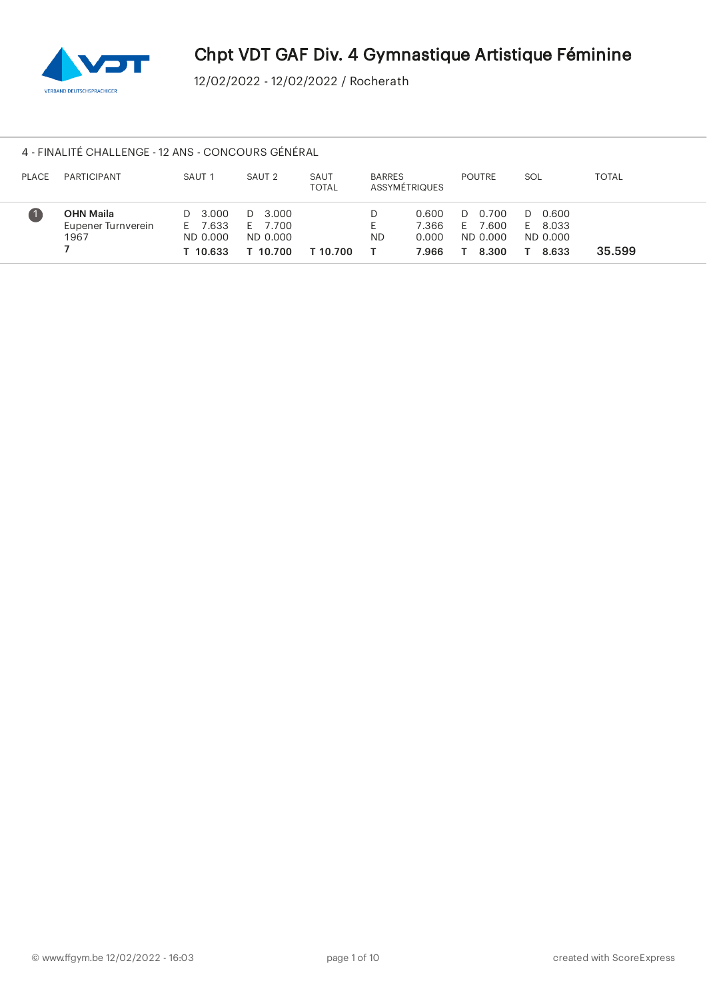

# 4 - FINALITÉ CHALLENGE - 12 ANS - CONCOURS GÉNÉRAL

| <b>PLACE</b> | <b>PARTICIPANT</b>                             | SAUT <sub>1</sub>                          | SAUT <sub>2</sub>                          | SAUT<br><b>TOTAL</b> | <b>BARRES</b><br>ASSYMÉTRIQUES |                                  | <b>POUTRE</b>                                  | SOL                                             | <b>TOTAL</b> |
|--------------|------------------------------------------------|--------------------------------------------|--------------------------------------------|----------------------|--------------------------------|----------------------------------|------------------------------------------------|-------------------------------------------------|--------------|
|              | <b>OHN Maila</b><br>Eupener Turnverein<br>1967 | D 3.000<br>E 7.633<br>ND 0.000<br>T 10.633 | D 3.000<br>E 7.700<br>ND 0.000<br>T 10.700 | T 10.700             | <b>ND</b>                      | 0.600<br>7.366<br>0.000<br>7.966 | 0.700<br>D<br>7.600<br>E.<br>ND 0.000<br>8.300 | 0.600<br>$\Box$<br>E 8.033<br>ND 0.000<br>8.633 | 35.599       |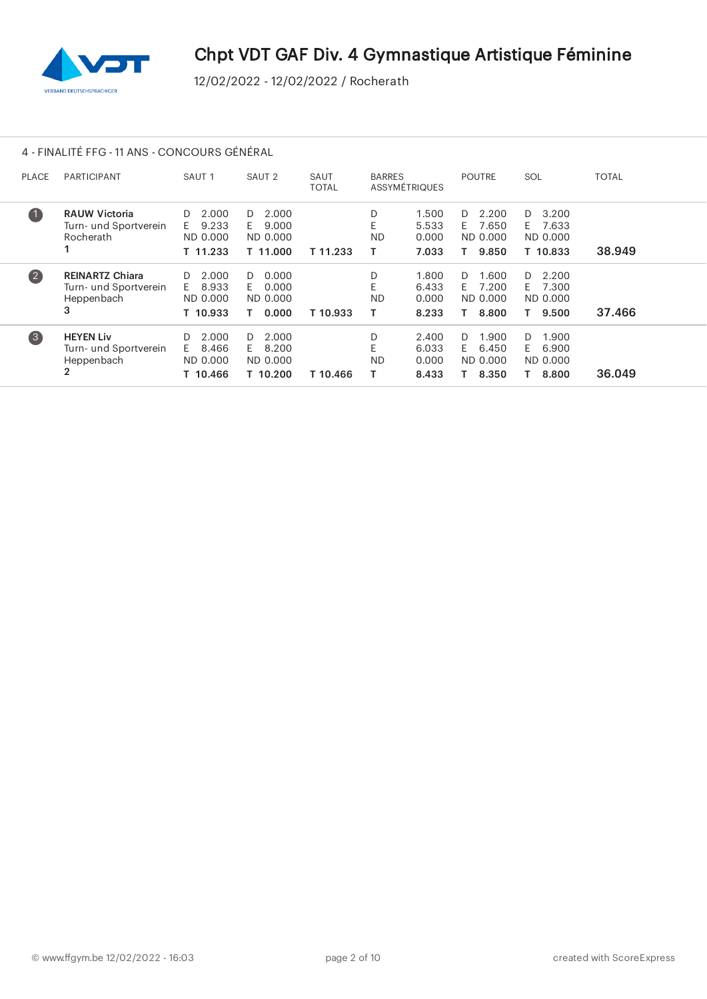

# 4 - FINALITÉ FFG - 11 ANS - CONCOURS GÉNÉRAL

| <b>PLACE</b>      | <b>PARTICIPANT</b>                                                        | SAUT <sub>1</sub>                                  | SAUT <sub>2</sub>                                  | SAUT<br><b>TOTAL</b> | <b>BARRES</b>       | ASSYMÉTRIQUES                    | <b>POUTRE</b>                                         | SOL                                                   | TOTAL  |
|-------------------|---------------------------------------------------------------------------|----------------------------------------------------|----------------------------------------------------|----------------------|---------------------|----------------------------------|-------------------------------------------------------|-------------------------------------------------------|--------|
| $\mathbf 1$       | <b>RAUW Victoria</b><br>Turn- und Sportverein<br>Rocherath                | 2.000<br>D.<br>9.233<br>E.<br>ND 0.000<br>T 11.233 | 2.000<br>D.<br>F.<br>9.000<br>ND 0.000<br>T 11.000 | T 11.233             | D<br>E<br><b>ND</b> | 1.500<br>5.533<br>0.000<br>7.033 | 2.200<br>D.<br>7.650<br>E.<br>ND 0.000<br>9.850<br>T. | 3.200<br>D.<br>7.633<br>- E -<br>ND 0.000<br>T 10.833 | 38.949 |
| $\left( 2\right)$ | <b>REINARTZ Chiara</b><br>Turn- und Sportverein<br>Heppenbach<br>3        | 2.000<br>D<br>8.933<br>E.<br>ND 0.000<br>T 10.933  | 0.000<br>D.<br>0.000<br>F.<br>ND 0.000<br>0.000    | T 10.933             | D<br><b>ND</b><br>т | 1.800<br>6.433<br>0.000<br>8.233 | 1.600<br>D.<br>7.200<br>F.<br>ND 0.000<br>8.800       | 2.200<br>D.<br>7.300<br>F.<br>ND 0.000<br>9.500<br>Τ. | 37.466 |
| $\left(3\right)$  | <b>HEYEN Liv</b><br>Turn- und Sportverein<br>Heppenbach<br>$\overline{2}$ | 2.000<br>D<br>8.466<br>F.<br>ND 0.000<br>T 10.466  | 2.000<br>D.<br>8.200<br>F.<br>ND 0.000<br>T 10.200 | T 10.466             | D<br>F<br><b>ND</b> | 2.400<br>6.033<br>0.000<br>8.433 | 1.900<br>D.<br>6.450<br>F.<br>ND 0.000<br>8.350       | 1.900<br>D<br>6.900<br>F.<br>ND 0.000<br>8.800<br>T.  | 36.049 |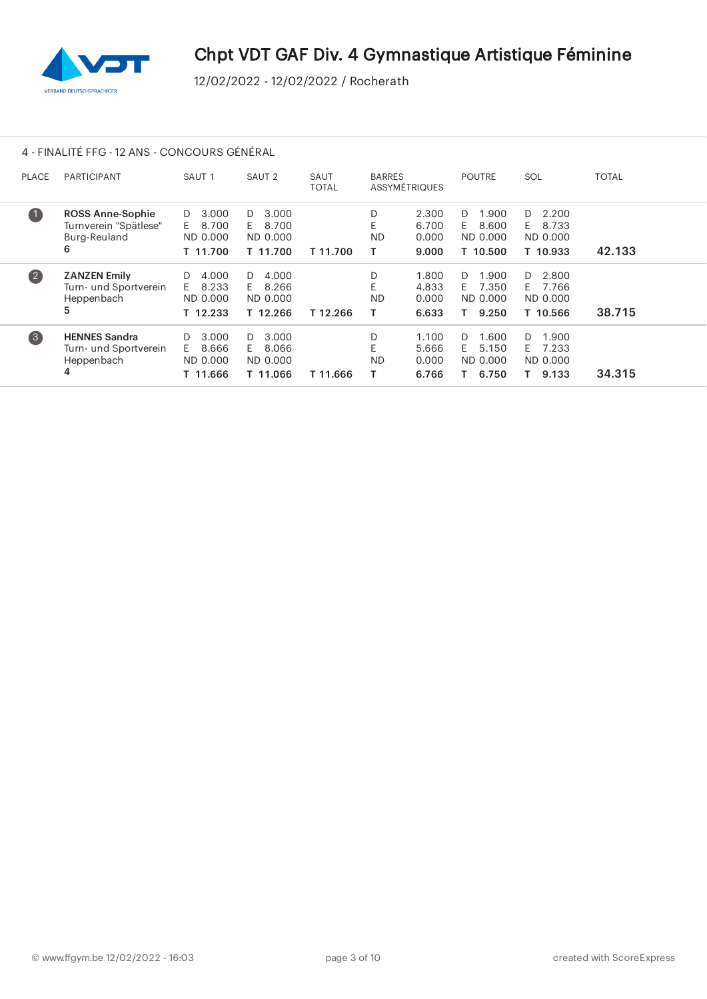

# 4 - FINALITÉ FFG - 12 ANS - CONCOURS GÉNÉRAL

| <b>PLACE</b>       | <b>PARTICIPANT</b>                                                    | SAUT <sub>1</sub>                                  | SAUT <sub>2</sub>                                  | SAUT<br><b>TOTAL</b> | <b>BARRES</b>            | ASSYMÉTRIQUES                    | <b>POUTRE</b>                                      | SOL                                                  | <b>TOTAL</b> |
|--------------------|-----------------------------------------------------------------------|----------------------------------------------------|----------------------------------------------------|----------------------|--------------------------|----------------------------------|----------------------------------------------------|------------------------------------------------------|--------------|
| $\mathbf 0$        | <b>ROSS Anne-Sophie</b><br>Turnverein "Spätlese"<br>Burg-Reuland<br>6 | 3.000<br>D.<br>8.700<br>E.<br>ND 0.000<br>T 11.700 | 3.000<br>D.<br>8.700<br>F.<br>ND 0.000<br>T 11.700 | T 11.700             | D<br><b>ND</b><br>т      | 2.300<br>6.700<br>0.000<br>9.000 | 1.900<br>D.<br>8.600<br>F.<br>ND 0.000<br>T 10.500 | 2.200<br>D.<br>8.733<br>E.<br>ND 0.000<br>T 10.933   | 42.133       |
| $\left( 2\right)$  | <b>ZANZEN Emily</b><br>Turn- und Sportverein<br>Heppenbach<br>5       | 4.000<br>D<br>8.233<br>E<br>ND 0.000<br>T 12.233   | 4.000<br>D.<br>F.<br>8.266<br>ND 0.000<br>T 12.266 | T 12.266             | D<br>E<br><b>ND</b><br>т | 1.800<br>4.833<br>0.000<br>6.633 | 1.900<br>D.<br>7.350<br>E.<br>ND 0.000<br>9.250    | 2.800<br>D.<br>7.766<br>E.<br>ND 0.000<br>T 10.566   | 38.715       |
| $\left( 3 \right)$ | <b>HENNES Sandra</b><br>Turn- und Sportverein<br>Heppenbach<br>4      | 3.000<br>D<br>8.666<br>F.<br>ND 0.000<br>T 11.666  | 3.000<br>D.<br>F.<br>8.066<br>ND 0.000<br>T 11.066 | T 11.666             | D<br>F<br><b>ND</b>      | 1.100<br>5.666<br>0.000<br>6.766 | 1.600<br>D.<br>5.150<br>F.<br>ND 0.000<br>6.750    | 1.900<br>D<br>7.233<br>F.<br>ND 0.000<br>9.133<br>Τ. | 34.315       |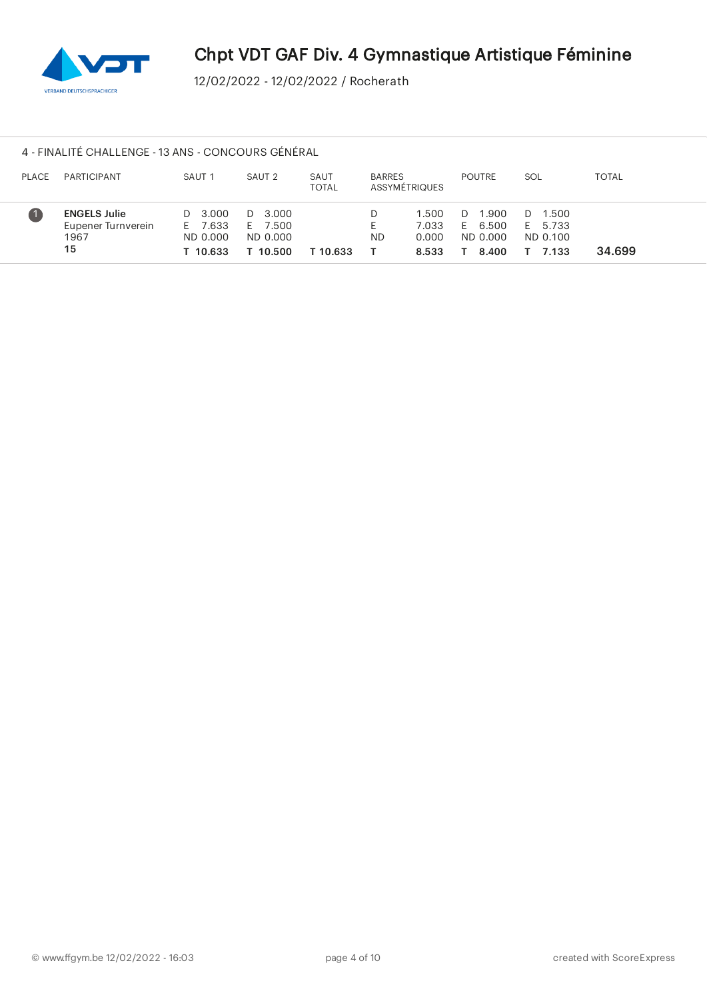

## 4 - FINALITÉ CHALLENGE - 13 ANS - CONCOURS GÉNÉRAL

| <b>PLACE</b> | PARTICIPANT                                             | SAUT <sub>1</sub>                          | SAUT 2                                     | SAUT<br>TOTAL | <b>BARRES</b><br>ASSYMÉTRIQUES |                                  | <b>POUTRE</b>                                   | SOL                                         | <b>TOTAL</b> |
|--------------|---------------------------------------------------------|--------------------------------------------|--------------------------------------------|---------------|--------------------------------|----------------------------------|-------------------------------------------------|---------------------------------------------|--------------|
|              | <b>ENGELS Julie</b><br>Eupener Turnverein<br>1967<br>15 | D 3.000<br>E 7.633<br>ND 0.000<br>T 10.633 | D 3.000<br>E 7.500<br>ND 0.000<br>T 10.500 | T 10.633      | <b>ND</b>                      | 1.500<br>7.033<br>0.000<br>8.533 | 1.900<br>D.<br>6.500<br>E.<br>ND 0.000<br>8.400 | 1.500<br>D.<br>E 5.733<br>ND 0.100<br>7.133 | 34.699       |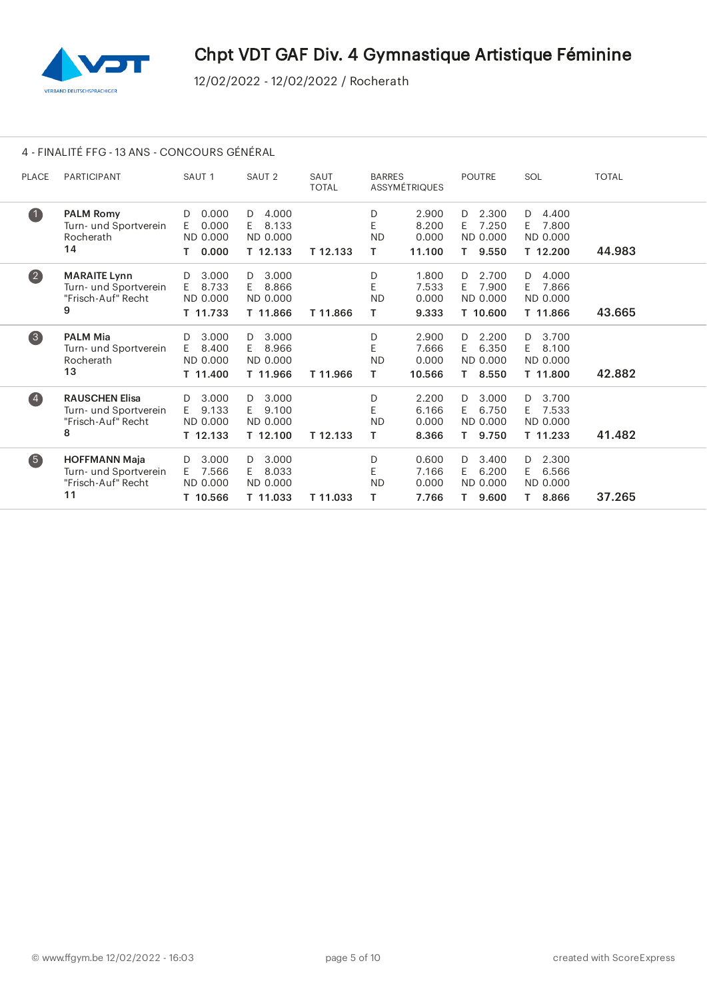

# 4 - FINALITÉ FFG - 13 ANS - CONCOURS GÉNÉRAL

| <b>PLACE</b>      | <b>PARTICIPANT</b>                                                        | SAUT <sub>1</sub>                                    | SAUT <sub>2</sub>                                 | SAUT<br><b>TOTAL</b> | <b>BARRES</b>             | <b>ASSYMÉTRIQUES</b>              | <b>POUTRE</b>                                         | SOL                                                   | <b>TOTAL</b> |
|-------------------|---------------------------------------------------------------------------|------------------------------------------------------|---------------------------------------------------|----------------------|---------------------------|-----------------------------------|-------------------------------------------------------|-------------------------------------------------------|--------------|
| $\bullet$         | <b>PALM Romy</b><br>Turn- und Sportverein<br>Rocherath<br>14              | 0.000<br>D<br>0.000<br>E.<br>ND 0.000<br>0.000<br>Τ. | 4.000<br>D<br>8.133<br>E.<br>ND 0.000<br>T 12.133 | T 12.133             | D<br>E<br><b>ND</b><br>T. | 2.900<br>8.200<br>0.000<br>11.100 | 2.300<br>D<br>7.250<br>E.<br>ND 0.000<br>9.550<br>Τ.  | 4.400<br>D<br>7.800<br>E.<br>ND 0.000<br>T 12.200     | 44.983       |
| $\bullet$         | <b>MARAITE Lynn</b><br>Turn- und Sportverein<br>"Frisch-Auf" Recht<br>9   | 3.000<br>D<br>8.733<br>E.<br>ND 0.000<br>T 11.733    | 3.000<br>D<br>E<br>8.866<br>ND 0.000<br>T 11.866  | T 11.866             | D<br>E<br><b>ND</b><br>Τ  | 1.800<br>7.533<br>0.000<br>9.333  | 2.700<br>D.<br>7.900<br>E.<br>ND 0.000<br>T 10.600    | 4.000<br>D<br>7.866<br>E.<br>ND 0.000<br>T 11.866     | 43.665       |
| $\left(3\right)$  | <b>PALM Mia</b><br>Turn- und Sportverein<br>Rocherath<br>13               | 3.000<br>D<br>8.400<br>E.<br>ND 0.000<br>T 11.400    | 3.000<br>D<br>8.966<br>E.<br>ND 0.000<br>T 11.966 | T 11.966             | D<br>E<br><b>ND</b><br>T. | 2.900<br>7.666<br>0.000<br>10.566 | 2.200<br>D<br>6.350<br>E.<br>ND 0.000<br>8.550<br>T.  | 3.700<br>D<br>8.100<br>E.<br>ND 0.000<br>T 11.800     | 42.882       |
| $\left( 4\right)$ | <b>RAUSCHEN Elisa</b><br>Turn- und Sportverein<br>"Frisch-Auf" Recht<br>8 | 3.000<br>D<br>9.133<br>E.<br>ND 0.000<br>T 12.133    | 3.000<br>D<br>9.100<br>E.<br>ND 0.000<br>T 12.100 | T 12.133             | D<br>E<br><b>ND</b><br>т  | 2.200<br>6.166<br>0.000<br>8.366  | 3.000<br>D<br>6.750<br>E.<br>ND 0.000<br>9.750<br>Τ.  | 3.700<br>D<br>7.533<br>E.<br>ND 0.000<br>T 11.233     | 41.482       |
| 6                 | <b>HOFFMANN Maja</b><br>Turn- und Sportverein<br>"Frisch-Auf" Recht<br>11 | 3.000<br>D<br>7.566<br>E.<br>ND 0.000<br>T 10.566    | 3.000<br>D<br>8.033<br>E.<br>ND 0.000<br>T 11.033 | T 11.033             | D<br>E<br><b>ND</b><br>т  | 0.600<br>7.166<br>0.000<br>7.766  | 3.400<br>D.<br>6.200<br>E.<br>ND 0.000<br>9.600<br>T. | 2.300<br>D.<br>6.566<br>E.<br>ND 0.000<br>8.866<br>T. | 37.265       |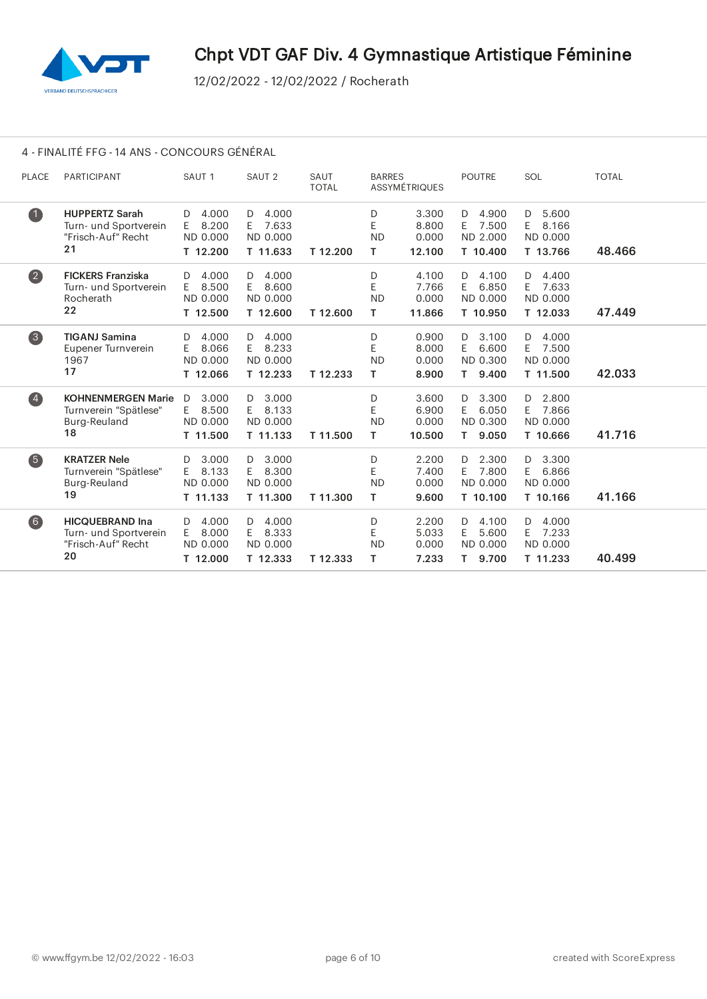

# 4 - FINALITÉ FFG - 14 ANS - CONCOURS GÉNÉRAL

| <b>PLACE</b>            | PARTICIPANT                                                                 | SAUT <sub>1</sub>                                 | SAUT <sub>2</sub>                                 | SAUT<br><b>TOTAL</b> | <b>BARRES</b>             | ASSYMÉTRIQUES                     | <b>POUTRE</b>                                         | SOL                                               | <b>TOTAL</b> |
|-------------------------|-----------------------------------------------------------------------------|---------------------------------------------------|---------------------------------------------------|----------------------|---------------------------|-----------------------------------|-------------------------------------------------------|---------------------------------------------------|--------------|
| $\bullet$               | <b>HUPPERTZ Sarah</b><br>Turn- und Sportverein<br>"Frisch-Auf" Recht<br>21  | 4.000<br>D<br>8.200<br>E.<br>ND 0.000<br>T 12.200 | 4.000<br>D<br>7.633<br>E.<br>ND 0.000<br>T 11.633 | T 12.200             | D<br>E<br><b>ND</b><br>T. | 3.300<br>8.800<br>0.000<br>12.100 | 4.900<br>D<br>7.500<br>E.<br>ND 2.000<br>T 10.400     | 5.600<br>D<br>E.<br>8.166<br>ND 0.000<br>T 13.766 | 48.466       |
| $\overline{\mathbf{2}}$ | <b>FICKERS Franziska</b><br>Turn- und Sportverein<br>Rocherath<br>22        | 4.000<br>D<br>8.500<br>E.<br>ND 0.000<br>T 12.500 | 4.000<br>D<br>8.600<br>E.<br>ND 0.000<br>T 12.600 | T 12.600             | D<br>E<br><b>ND</b><br>T. | 4.100<br>7.766<br>0.000<br>11.866 | 4.100<br>D<br>6.850<br>E.<br>ND 0.000<br>T 10.950     | 4.400<br>D<br>E 7.633<br>ND 0.000<br>T 12.033     | 47.449       |
| 3                       | <b>TIGANJ Samina</b><br>Eupener Turnverein<br>1967<br>17                    | 4.000<br>D<br>8.066<br>E.<br>ND 0.000<br>T 12.066 | $D$ 4.000<br>8.233<br>E.<br>ND 0.000<br>T 12.233  | T 12.233             | D<br>E<br><b>ND</b><br>т  | 0.900<br>8.000<br>0.000<br>8.900  | 3.100<br>D<br>6.600<br>E.<br>ND 0.300<br>9.400<br>T.  | 4.000<br>D<br>7.500<br>E.<br>ND 0.000<br>T 11.500 | 42.033       |
| $\left( 4\right)$       | <b>KOHNENMERGEN Marie</b><br>Turnverein "Spätlese"<br>Burg-Reuland<br>18    | 3.000<br>D<br>E 8.500<br>ND 0.000<br>T 11.500     | 3.000<br>D<br>8.133<br>E.<br>ND 0.000<br>T 11.133 | T 11.500             | D<br>E<br><b>ND</b><br>T. | 3.600<br>6.900<br>0.000<br>10.500 | 3.300<br>D<br>6.050<br>E.<br>ND 0.300<br>9.050<br>T.  | 2.800<br>D<br>E.<br>7.866<br>ND 0.000<br>T 10.666 | 41.716       |
| 6                       | <b>KRATZER Nele</b><br>Turnverein "Spätlese"<br>Burg-Reuland<br>19          | 3.000<br>D<br>8.133<br>F.<br>ND 0.000<br>T 11.133 | 3.000<br>D<br>8.300<br>E.<br>ND 0.000<br>T 11.300 | T 11.300             | D<br>E<br><b>ND</b><br>T. | 2.200<br>7.400<br>0.000<br>9.600  | 2.300<br>D<br>7.800<br>E.<br>ND 0.000<br>T 10.100     | 3.300<br>D<br>6.866<br>E.<br>ND 0.000<br>T 10.166 | 41.166       |
| 6)                      | <b>HICQUEBRAND Ina</b><br>Turn- und Sportverein<br>"Frisch-Auf" Recht<br>20 | 4.000<br>D.<br>E<br>8.000<br>ND 0.000<br>T 12.000 | 4.000<br>D<br>E.<br>8.333<br>ND 0.000<br>T 12.333 | T 12.333             | D<br>E<br><b>ND</b><br>т  | 2.200<br>5.033<br>0.000<br>7.233  | 4.100<br>D.<br>E.<br>5.600<br>ND 0.000<br>9.700<br>T. | 4.000<br>D<br>E.<br>7.233<br>ND 0.000<br>T 11.233 | 40.499       |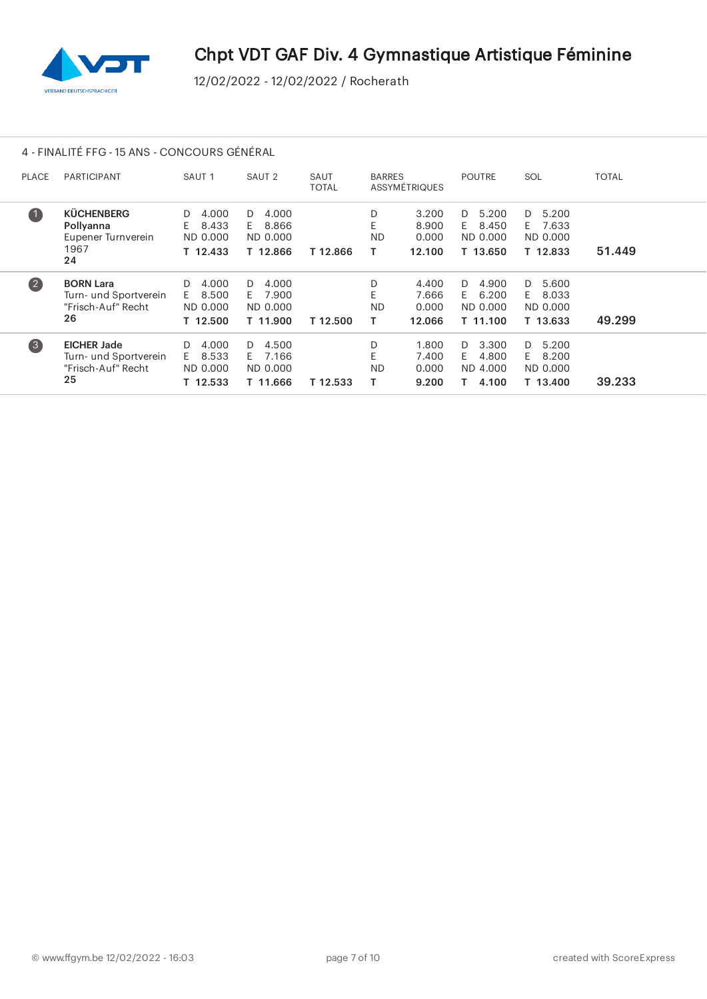

# 4 - FINALITÉ FFG - 15 ANS - CONCOURS GÉNÉRAL

| <b>PLACE</b>       | <b>PARTICIPANT</b>                                                      | SAUT <sub>1</sub>                                 | SAUT <sub>2</sub>                                  | SAUT<br><b>TOTAL</b> | <b>BARRES</b>       | ASSYMÉTRIQUES                     | <b>POUTRE</b>                                      | SOL                                                | <b>TOTAL</b> |
|--------------------|-------------------------------------------------------------------------|---------------------------------------------------|----------------------------------------------------|----------------------|---------------------|-----------------------------------|----------------------------------------------------|----------------------------------------------------|--------------|
| (1)                | <b>KÜCHENBERG</b><br>Pollyanna<br>Eupener Turnverein<br>1967<br>24      | 4.000<br>D<br>8.433<br>E.<br>ND 0.000<br>T 12.433 | 4.000<br>D<br>8.866<br>E.<br>ND 0.000<br>T 12.866  | T 12.866             | D<br>E<br><b>ND</b> | 3.200<br>8.900<br>0.000<br>12.100 | 5.200<br>D.<br>8.450<br>F.<br>ND 0.000<br>T 13.650 | 5.200<br>D.<br>7.633<br>F.<br>ND 0.000<br>T 12.833 | 51.449       |
| (2)                | <b>BORN Lara</b><br>Turn- und Sportverein<br>"Frisch-Auf" Recht<br>26   | 4.000<br>D<br>8.500<br>F.<br>ND 0.000<br>T 12.500 | D.<br>4.000<br>7.900<br>F.<br>ND 0.000<br>T 11.900 | T 12.500             | D<br><b>ND</b>      | 4.400<br>7.666<br>0.000<br>12.066 | 4.900<br>D.<br>6.200<br>F.<br>ND 0.000<br>T 11.100 | 5.600<br>D.<br>8.033<br>F.<br>ND 0.000<br>T 13.633 | 49.299       |
| $\left( 3 \right)$ | <b>EICHER Jade</b><br>Turn- und Sportverein<br>"Frisch-Auf" Recht<br>25 | 4.000<br>D<br>8.533<br>E.<br>ND 0.000<br>T 12.533 | 4.500<br>D<br>E 7.166<br>ND 0.000<br>T 11.666      | T 12.533             | D<br><b>ND</b>      | 1.800<br>7.400<br>0.000<br>9.200  | 3.300<br>D.<br>4.800<br>F.<br>ND 4.000<br>4.100    | 5.200<br>D.<br>8.200<br>F.<br>ND 0.000<br>T 13.400 | 39.233       |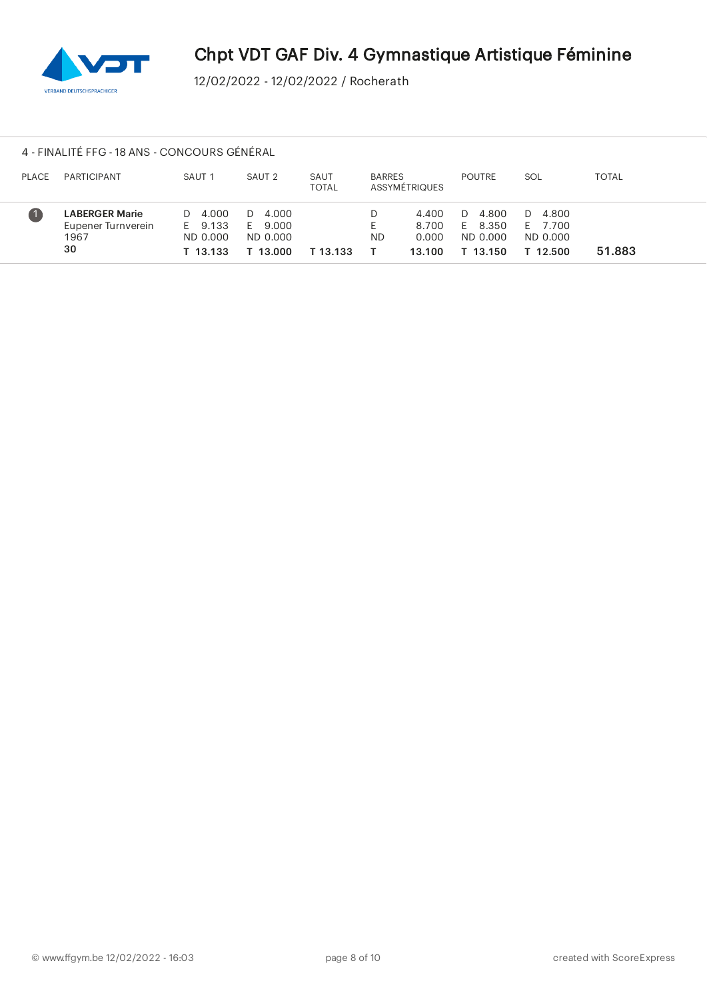

#### 4 - FINALITÉ FFG - 18 ANS - CONCOURS GÉNÉRAL

| <b>PLACE</b> | PARTICIPANT                                               | SAUT <sub>1</sub>                          | SAUT <sub>2</sub>                          | SAUT<br>TOTAL | <b>BARRES</b><br>ASSYMÉTRIQUES |                                   | <b>POUTRE</b>                                     | SOL                                                      | <b>TOTAL</b> |
|--------------|-----------------------------------------------------------|--------------------------------------------|--------------------------------------------|---------------|--------------------------------|-----------------------------------|---------------------------------------------------|----------------------------------------------------------|--------------|
|              | <b>LABERGER Marie</b><br>Eupener Turnverein<br>1967<br>30 | D 4.000<br>E 9.133<br>ND 0.000<br>T 13.133 | D 4.000<br>E 9.000<br>ND 0.000<br>r 13.000 | T 13.133      | <b>ND</b>                      | 4.400<br>8.700<br>0.000<br>13.100 | 4.800<br>D<br>8.350<br>E.<br>ND 0.000<br>T 13.150 | 4.800<br>$\mathbf{D}$<br>E 7.700<br>ND 0.000<br>T 12.500 | 51.883       |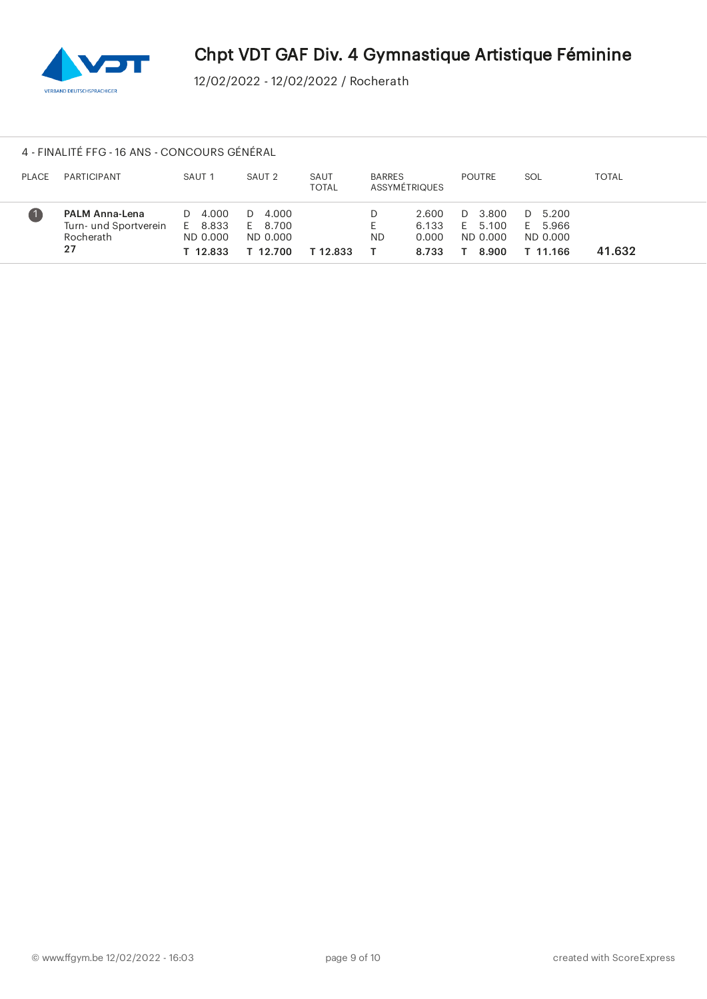

#### 4 - FINALITÉ FFG - 16 ANS - CONCOURS GÉNÉRAL

| <b>PLACE</b> | PARTICIPANT                                                       | SAUT <sub>1</sub>                          | SAUT <sub>2</sub>                          | SAUT<br>TOTAL | <b>BARRES</b><br>ASSYMÉTRIQUES |                                  | <b>POUTRE</b>                           | SOL                                        | TOTAL  |
|--------------|-------------------------------------------------------------------|--------------------------------------------|--------------------------------------------|---------------|--------------------------------|----------------------------------|-----------------------------------------|--------------------------------------------|--------|
|              | <b>PALM Anna-Lena</b><br>Turn- und Sportverein<br>Rocherath<br>27 | D 4.000<br>E 8.833<br>ND 0.000<br>T 12.833 | D 4.000<br>E 8.700<br>ND 0.000<br>T 12.700 | T 12.833      | <b>ND</b>                      | 2.600<br>6.133<br>0.000<br>8.733 | D 3.800<br>E 5.100<br>ND 0.000<br>8.900 | D 5.200<br>E 5.966<br>ND 0.000<br>T 11.166 | 41.632 |